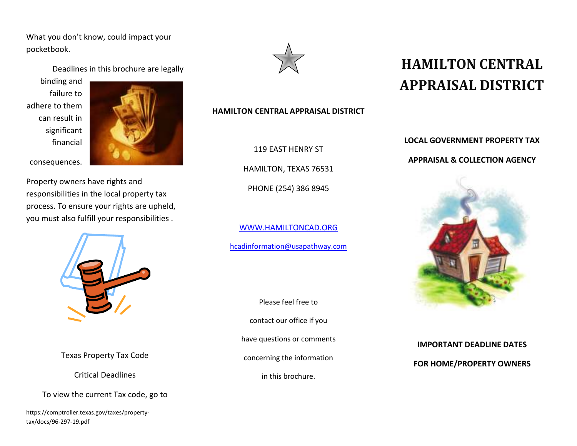What you don't know, could impact your pocketbook.

Deadlines in this brochure are legally

binding and failure to adhere to them can result in significant financial



consequences.

Property owners have rights and responsibilities in the local property tax process. To ensure your rights are upheld, you must also fulfill your responsibilities .



Texas Property Tax Code

Critical Deadlines

To view the current Tax code, go to

https://comptroller.texas.gov/taxes/propertytax/docs/96-297-19.pdf



## **HAMILTON CENTRAL APPRAISAL DISTRICT**

119 EAST HENRY ST

HAMILTON, TEXAS 76531

PHONE (254) 386 8945

WWW.HAMILTONCAD.ORGhcadinformation@usapathway.com

Please feel free to contact our office if you have questions or comments concerning the information in this brochure.

## **HAMILTON CENTRAL APPRAISAL DISTRICT**

**LOCAL GOVERNMENT PROPERTY TAX** 

## **APPRAISAL & COLLECTION AGENCY**



**IMPORTANT DEADLINE DATES FOR HOME/PROPERTY OWNERS**